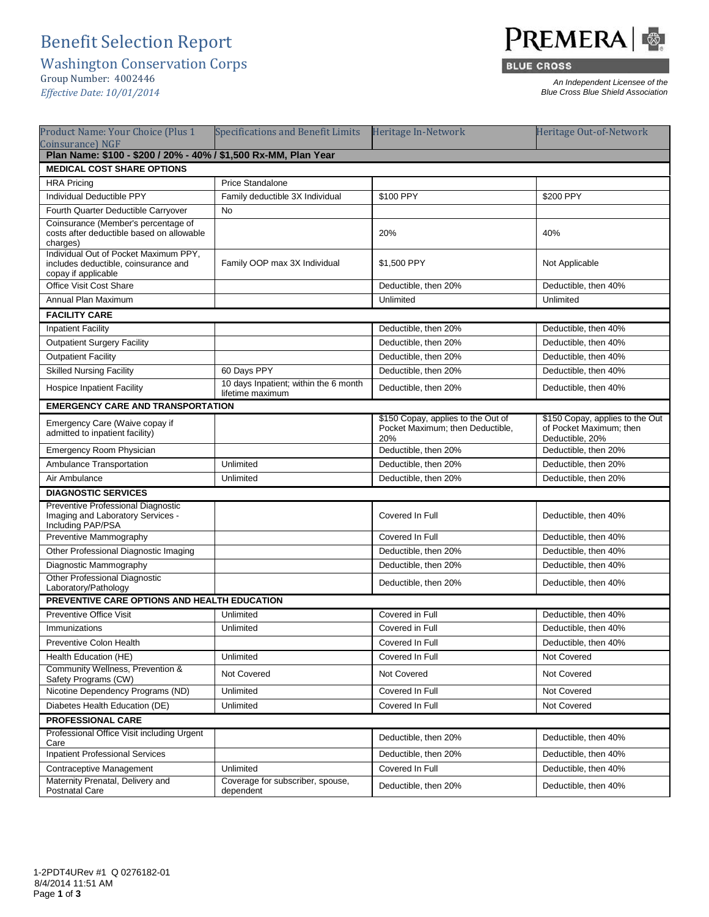## Benefit Selection Report

Washington Conservation Corps

Group Number: 4002446 *Effective Date: 10/01/2014*



**BLUE CROSS** 

*An Independent Licensee of the Blue Cross Blue Shield Association*

| Product Name: Your Choice (Plus 1<br><b>Coinsurance</b> ) NGF                                        | <b>Specifications and Benefit Limits</b>                  | Heritage In-Network                                                           | Heritage Out-of-Network                                                       |  |  |
|------------------------------------------------------------------------------------------------------|-----------------------------------------------------------|-------------------------------------------------------------------------------|-------------------------------------------------------------------------------|--|--|
| Plan Name: \$100 - \$200 / 20% - 40% / \$1,500 Rx-MM, Plan Year                                      |                                                           |                                                                               |                                                                               |  |  |
| <b>MEDICAL COST SHARE OPTIONS</b>                                                                    |                                                           |                                                                               |                                                                               |  |  |
| <b>HRA Pricing</b>                                                                                   | Price Standalone                                          |                                                                               |                                                                               |  |  |
| <b>Individual Deductible PPY</b>                                                                     | Family deductible 3X Individual                           | \$100 PPY                                                                     | \$200 PPY                                                                     |  |  |
| Fourth Quarter Deductible Carryover                                                                  | No                                                        |                                                                               |                                                                               |  |  |
| Coinsurance (Member's percentage of<br>costs after deductible based on allowable<br>charges)         |                                                           | 20%                                                                           | 40%                                                                           |  |  |
| Individual Out of Pocket Maximum PPY,<br>includes deductible, coinsurance and<br>copay if applicable | Family OOP max 3X Individual                              | \$1,500 PPY                                                                   | Not Applicable                                                                |  |  |
| Office Visit Cost Share                                                                              |                                                           | Deductible, then 20%                                                          | Deductible, then 40%                                                          |  |  |
| Annual Plan Maximum                                                                                  |                                                           | Unlimited                                                                     | Unlimited                                                                     |  |  |
| <b>FACILITY CARE</b>                                                                                 |                                                           |                                                                               |                                                                               |  |  |
| <b>Inpatient Facility</b>                                                                            |                                                           | Deductible, then 20%                                                          | Deductible, then 40%                                                          |  |  |
| <b>Outpatient Surgery Facility</b>                                                                   |                                                           | Deductible, then 20%                                                          | Deductible, then 40%                                                          |  |  |
| <b>Outpatient Facility</b>                                                                           |                                                           | Deductible, then 20%                                                          | Deductible, then 40%                                                          |  |  |
| <b>Skilled Nursing Facility</b>                                                                      | 60 Days PPY                                               | Deductible, then 20%                                                          | Deductible, then 40%                                                          |  |  |
| <b>Hospice Inpatient Facility</b>                                                                    | 10 days Inpatient; within the 6 month<br>lifetime maximum | Deductible, then 20%                                                          | Deductible, then 40%                                                          |  |  |
| <b>EMERGENCY CARE AND TRANSPORTATION</b>                                                             |                                                           |                                                                               |                                                                               |  |  |
| Emergency Care (Waive copay if<br>admitted to inpatient facility)                                    |                                                           | \$150 Copay, applies to the Out of<br>Pocket Maximum; then Deductible,<br>20% | \$150 Copay, applies to the Out<br>of Pocket Maximum; then<br>Deductible, 20% |  |  |
| Emergency Room Physician                                                                             |                                                           | Deductible, then 20%                                                          | Deductible, then 20%                                                          |  |  |
| Ambulance Transportation                                                                             | Unlimited                                                 | Deductible, then 20%                                                          | Deductible, then 20%                                                          |  |  |
| Air Ambulance                                                                                        | Unlimited                                                 | Deductible, then 20%                                                          | Deductible, then 20%                                                          |  |  |
| <b>DIAGNOSTIC SERVICES</b>                                                                           |                                                           |                                                                               |                                                                               |  |  |
| Preventive Professional Diagnostic<br>Imaging and Laboratory Services -<br>Including PAP/PSA         |                                                           | Covered In Full                                                               | Deductible, then 40%                                                          |  |  |
| Preventive Mammography                                                                               |                                                           | Covered In Full                                                               | Deductible, then 40%                                                          |  |  |
| Other Professional Diagnostic Imaging                                                                |                                                           | Deductible, then 20%                                                          | Deductible, then 40%                                                          |  |  |
| Diagnostic Mammography                                                                               |                                                           | Deductible, then 20%                                                          | Deductible, then 40%                                                          |  |  |
| <b>Other Professional Diagnostic</b><br>Laboratory/Pathology                                         |                                                           | Deductible, then 20%                                                          | Deductible, then 40%                                                          |  |  |
| PREVENTIVE CARE OPTIONS AND HEALTH EDUCATION                                                         |                                                           |                                                                               |                                                                               |  |  |
| <b>Preventive Office Visit</b>                                                                       | Unlimited                                                 | Covered in Full                                                               | Deductible, then 40%                                                          |  |  |
| Immunizations                                                                                        | Unlimited                                                 | Covered in Full                                                               | Deductible, then 40%                                                          |  |  |
| Preventive Colon Health                                                                              |                                                           | Covered In Full                                                               | Deductible, then 40%                                                          |  |  |
| Health Education (HE)                                                                                | Unlimited                                                 | Covered In Full                                                               | Not Covered                                                                   |  |  |
| Community Wellness, Prevention &<br>Safety Programs (CW)                                             | Not Covered                                               | Not Covered                                                                   | Not Covered                                                                   |  |  |
| Nicotine Dependency Programs (ND)                                                                    | Unlimited                                                 | Covered In Full                                                               | Not Covered                                                                   |  |  |
| Diabetes Health Education (DE)                                                                       | Unlimited                                                 | Covered In Full                                                               | Not Covered                                                                   |  |  |
| <b>PROFESSIONAL CARE</b>                                                                             |                                                           |                                                                               |                                                                               |  |  |
| Professional Office Visit including Urgent<br>Care                                                   |                                                           | Deductible, then 20%                                                          | Deductible, then 40%                                                          |  |  |
| <b>Inpatient Professional Services</b>                                                               |                                                           | Deductible, then 20%                                                          | Deductible, then 40%                                                          |  |  |
| Contraceptive Management                                                                             | Unlimited                                                 | Covered In Full                                                               | Deductible, then 40%                                                          |  |  |
| Maternity Prenatal, Delivery and<br>Postnatal Care                                                   | Coverage for subscriber, spouse,<br>dependent             | Deductible, then 20%                                                          | Deductible, then 40%                                                          |  |  |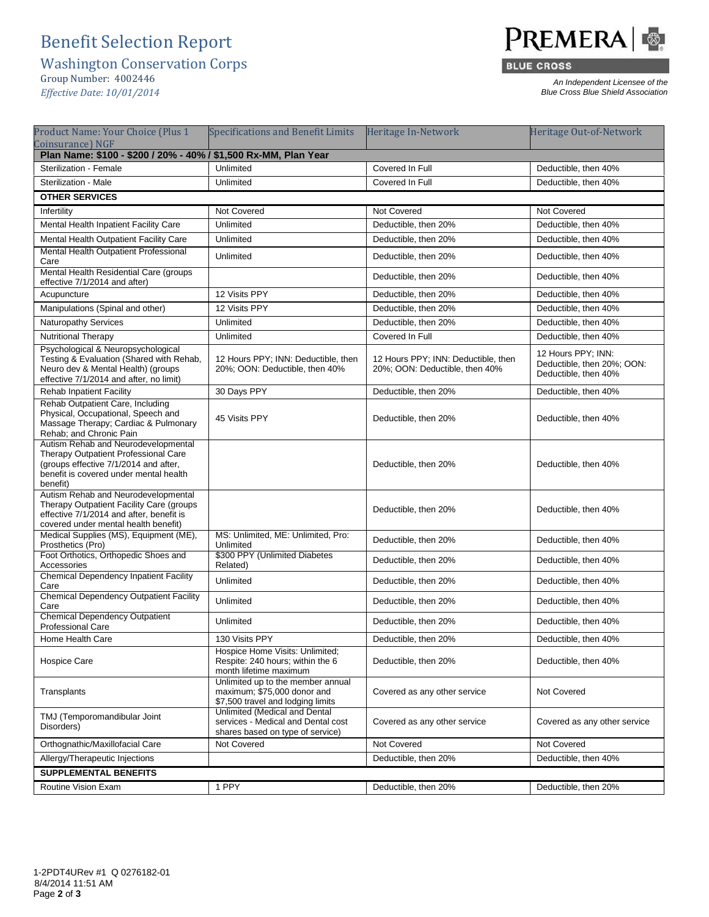## Benefit Selection Report

Washington Conservation Corps

Group Number: 4002446

*Effective Date: 10/01/2014*



**BLUE CROSS** 

*An Independent Licensee of the Blue Cross Blue Shield Association*

| Product Name: Your Choice (Plus 1                                                                                                                                          | <b>Specifications and Benefit Limits</b>                                                                | Heritage In-Network                                                   | Heritage Out-of-Network                                                  |  |
|----------------------------------------------------------------------------------------------------------------------------------------------------------------------------|---------------------------------------------------------------------------------------------------------|-----------------------------------------------------------------------|--------------------------------------------------------------------------|--|
| Coinsurance) NGF<br>Plan Name: \$100 - \$200 / 20% - 40% / \$1,500 Rx-MM, Plan Year                                                                                        |                                                                                                         |                                                                       |                                                                          |  |
| Sterilization - Female                                                                                                                                                     | Unlimited                                                                                               | Covered In Full                                                       | Deductible, then 40%                                                     |  |
| Sterilization - Male                                                                                                                                                       | Unlimited                                                                                               | Covered In Full                                                       | Deductible, then 40%                                                     |  |
| <b>OTHER SERVICES</b>                                                                                                                                                      |                                                                                                         |                                                                       |                                                                          |  |
| Infertility                                                                                                                                                                | Not Covered                                                                                             | Not Covered                                                           | Not Covered                                                              |  |
| Mental Health Inpatient Facility Care                                                                                                                                      | Unlimited                                                                                               | Deductible, then 20%                                                  | Deductible, then 40%                                                     |  |
| Mental Health Outpatient Facility Care                                                                                                                                     | Unlimited                                                                                               | Deductible, then 20%                                                  | Deductible, then 40%                                                     |  |
| Mental Health Outpatient Professional<br>Care                                                                                                                              | Unlimited                                                                                               | Deductible, then 20%                                                  | Deductible, then 40%                                                     |  |
| Mental Health Residential Care (groups)<br>effective 7/1/2014 and after)                                                                                                   |                                                                                                         | Deductible, then 20%                                                  | Deductible, then 40%                                                     |  |
| Acupuncture                                                                                                                                                                | 12 Visits PPY                                                                                           | Deductible, then 20%                                                  | Deductible, then 40%                                                     |  |
| Manipulations (Spinal and other)                                                                                                                                           | 12 Visits PPY                                                                                           | Deductible, then 20%                                                  | Deductible, then 40%                                                     |  |
| <b>Naturopathy Services</b>                                                                                                                                                | Unlimited                                                                                               | Deductible, then 20%                                                  | Deductible, then 40%                                                     |  |
| Nutritional Therapy                                                                                                                                                        | Unlimited                                                                                               | Covered In Full                                                       | Deductible, then 40%                                                     |  |
| Psychological & Neuropsychological<br>Testing & Evaluation (Shared with Rehab,<br>Neuro dev & Mental Health) (groups<br>effective 7/1/2014 and after, no limit)            | 12 Hours PPY; INN: Deductible, then<br>20%; OON: Deductible, then 40%                                   | 12 Hours PPY; INN: Deductible, then<br>20%; OON: Deductible, then 40% | 12 Hours PPY; INN:<br>Deductible, then 20%; OON:<br>Deductible, then 40% |  |
| <b>Rehab Inpatient Facility</b>                                                                                                                                            | 30 Days PPY                                                                                             | Deductible, then 20%                                                  | Deductible, then 40%                                                     |  |
| Rehab Outpatient Care, Including<br>Physical, Occupational, Speech and<br>Massage Therapy; Cardiac & Pulmonary<br>Rehab; and Chronic Pain                                  | 45 Visits PPY                                                                                           | Deductible, then 20%                                                  | Deductible, then 40%                                                     |  |
| Autism Rehab and Neurodevelopmental<br>Therapy Outpatient Professional Care<br>(groups effective 7/1/2014 and after,<br>benefit is covered under mental health<br>benefit) |                                                                                                         | Deductible, then 20%                                                  | Deductible, then 40%                                                     |  |
| Autism Rehab and Neurodevelopmental<br>Therapy Outpatient Facility Care (groups<br>effective 7/1/2014 and after, benefit is<br>covered under mental health benefit)        |                                                                                                         | Deductible, then 20%                                                  | Deductible, then 40%                                                     |  |
| Medical Supplies (MS), Equipment (ME),<br>Prosthetics (Pro)                                                                                                                | MS: Unlimited, ME: Unlimited, Pro:<br>Unlimited                                                         | Deductible, then 20%                                                  | Deductible, then 40%                                                     |  |
| Foot Orthotics, Orthopedic Shoes and<br>Accessories                                                                                                                        | \$300 PPY (Unlimited Diabetes<br>Related)                                                               | Deductible, then 20%                                                  | Deductible, then 40%                                                     |  |
| <b>Chemical Dependency Inpatient Facility</b><br>Care                                                                                                                      | Unlimited                                                                                               | Deductible, then 20%                                                  | Deductible, then 40%                                                     |  |
| <b>Chemical Dependency Outpatient Facility</b><br>Care                                                                                                                     | Unlimited                                                                                               | Deductible, then 20%                                                  | Deductible, then 40%                                                     |  |
| <b>Chemical Dependency Outpatient</b><br><b>Professional Care</b>                                                                                                          | Unlimited                                                                                               | Deductible, then 20%                                                  | Deductible, then 40%                                                     |  |
| Home Health Care                                                                                                                                                           | 130 Visits PPY                                                                                          | Deductible, then 20%                                                  | Deductible, then 40%                                                     |  |
| Hospice Care                                                                                                                                                               | Hospice Home Visits: Unlimited;<br>Respite: 240 hours; within the 6<br>month lifetime maximum           | Deductible, then 20%                                                  | Deductible, then 40%                                                     |  |
| Transplants                                                                                                                                                                | Unlimited up to the member annual<br>maximum; \$75,000 donor and<br>\$7,500 travel and lodging limits   | Covered as any other service                                          | Not Covered                                                              |  |
| TMJ (Temporomandibular Joint<br>Disorders)                                                                                                                                 | Unlimited (Medical and Dental<br>services - Medical and Dental cost<br>shares based on type of service) | Covered as any other service                                          | Covered as any other service                                             |  |
| Orthognathic/Maxillofacial Care                                                                                                                                            | Not Covered                                                                                             | Not Covered                                                           | Not Covered                                                              |  |
| Allergy/Therapeutic Injections                                                                                                                                             |                                                                                                         | Deductible, then 20%                                                  | Deductible, then 40%                                                     |  |
| <b>SUPPLEMENTAL BENEFITS</b>                                                                                                                                               |                                                                                                         |                                                                       |                                                                          |  |
| Routine Vision Exam                                                                                                                                                        | 1 PPY                                                                                                   | Deductible, then 20%                                                  | Deductible, then 20%                                                     |  |